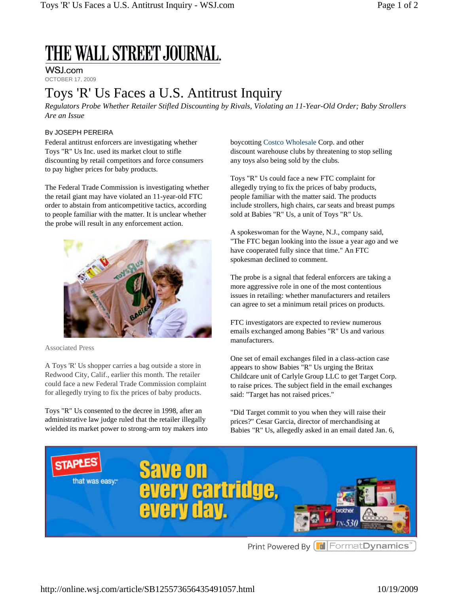# THE WALL STREET JOURNAL.

#### WSJ.com

OCTOBER 17, 2009

### Toys 'R' Us Faces a U.S. Antitrust Inquiry

*Regulators Probe Whether Retailer Stifled Discounting by Rivals, Violating an 11-Year-Old Order; Baby Strollers Are an Issue*

#### By JOSEPH PEREIRA

Federal antitrust enforcers are investigating whether Toys "R" Us Inc. used its market clout to stifle discounting by retail competitors and force consumers to pay higher prices for baby products.

The Federal Trade Commission is investigating whether the retail giant may have violated an 11-year-old FTC order to abstain from anticompetitive tactics, according to people familiar with the matter. It is unclear whether the probe will result in any enforcement action.



Associated Press

A Toys 'R' Us shopper carries a bag outside a store in Redwood City, Calif., earlier this month. The retailer could face a new Federal Trade Commission complaint for allegedly trying to fix the prices of baby products.

Toys "R" Us consented to the decree in 1998, after an administrative law judge ruled that the retailer illegally wielded its market power to strong-arm toy makers into boycotting Costco Wholesale Corp. and other discount warehouse clubs by threatening to stop selling any toys also being sold by the clubs.

Toys "R" Us could face a new FTC complaint for allegedly trying to fix the prices of baby products, people familiar with the matter said. The products include strollers, high chairs, car seats and breast pumps sold at Babies "R" Us, a unit of Toys "R" Us.

A spokeswoman for the Wayne, N.J., company said, "The FTC began looking into the issue a year ago and we have cooperated fully since that time." An FTC spokesman declined to comment.

The probe is a signal that federal enforcers are taking a more aggressive role in one of the most contentious issues in retailing: whether manufacturers and retailers can agree to set a minimum retail prices on products.

FTC investigators are expected to review numerous emails exchanged among Babies "R" Us and various manufacturers.

One set of email exchanges filed in a class-action case appears to show Babies "R" Us urging the Britax Childcare unit of Carlyle Group LLC to get Target Corp. to raise prices. The subject field in the email exchanges said: "Target has not raised prices."

"Did Target commit to you when they will raise their prices?" Cesar Garcia, director of merchandising at Babies "R" Us, allegedly asked in an email dated Jan. 6,



http://online.wsj.com/article/SB125573656435491057.html 10/19/2009